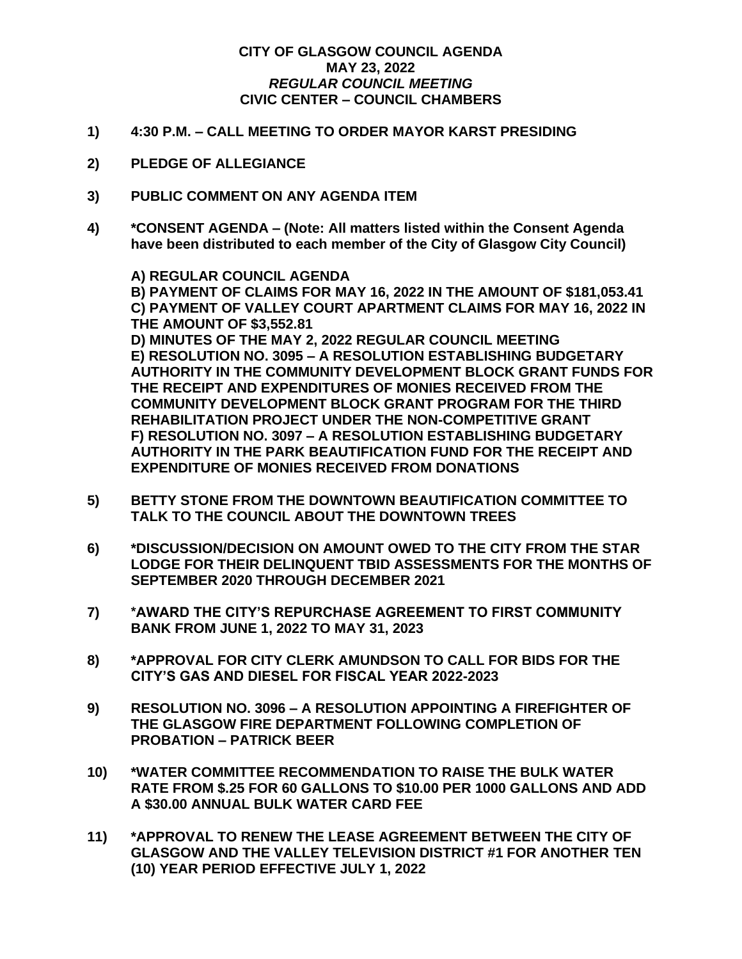## **CITY OF GLASGOW COUNCIL AGENDA MAY 23, 2022** *REGULAR COUNCIL MEETING* **CIVIC CENTER – COUNCIL CHAMBERS**

- **1) 4:30 P.M. – CALL MEETING TO ORDER MAYOR KARST PRESIDING**
- **2) PLEDGE OF ALLEGIANCE**
- **3) PUBLIC COMMENT ON ANY AGENDA ITEM**
- **4) \*CONSENT AGENDA – (Note: All matters listed within the Consent Agenda have been distributed to each member of the City of Glasgow City Council)**

**A) REGULAR COUNCIL AGENDA B) PAYMENT OF CLAIMS FOR MAY 16, 2022 IN THE AMOUNT OF \$181,053.41 C) PAYMENT OF VALLEY COURT APARTMENT CLAIMS FOR MAY 16, 2022 IN THE AMOUNT OF \$3,552.81 D) MINUTES OF THE MAY 2, 2022 REGULAR COUNCIL MEETING E) RESOLUTION NO. 3095 – A RESOLUTION ESTABLISHING BUDGETARY AUTHORITY IN THE COMMUNITY DEVELOPMENT BLOCK GRANT FUNDS FOR THE RECEIPT AND EXPENDITURES OF MONIES RECEIVED FROM THE COMMUNITY DEVELOPMENT BLOCK GRANT PROGRAM FOR THE THIRD REHABILITATION PROJECT UNDER THE NON-COMPETITIVE GRANT F) RESOLUTION NO. 3097 – A RESOLUTION ESTABLISHING BUDGETARY AUTHORITY IN THE PARK BEAUTIFICATION FUND FOR THE RECEIPT AND EXPENDITURE OF MONIES RECEIVED FROM DONATIONS**

- **5) BETTY STONE FROM THE DOWNTOWN BEAUTIFICATION COMMITTEE TO TALK TO THE COUNCIL ABOUT THE DOWNTOWN TREES**
- **6) \*DISCUSSION/DECISION ON AMOUNT OWED TO THE CITY FROM THE STAR LODGE FOR THEIR DELINQUENT TBID ASSESSMENTS FOR THE MONTHS OF SEPTEMBER 2020 THROUGH DECEMBER 2021**
- **7) \*AWARD THE CITY'S REPURCHASE AGREEMENT TO FIRST COMMUNITY BANK FROM JUNE 1, 2022 TO MAY 31, 2023**
- **8) \*APPROVAL FOR CITY CLERK AMUNDSON TO CALL FOR BIDS FOR THE CITY'S GAS AND DIESEL FOR FISCAL YEAR 2022-2023**
- **9) RESOLUTION NO. 3096 – A RESOLUTION APPOINTING A FIREFIGHTER OF THE GLASGOW FIRE DEPARTMENT FOLLOWING COMPLETION OF PROBATION – PATRICK BEER**
- **10) \*WATER COMMITTEE RECOMMENDATION TO RAISE THE BULK WATER RATE FROM \$.25 FOR 60 GALLONS TO \$10.00 PER 1000 GALLONS AND ADD A \$30.00 ANNUAL BULK WATER CARD FEE**
- **11) \*APPROVAL TO RENEW THE LEASE AGREEMENT BETWEEN THE CITY OF GLASGOW AND THE VALLEY TELEVISION DISTRICT #1 FOR ANOTHER TEN (10) YEAR PERIOD EFFECTIVE JULY 1, 2022**